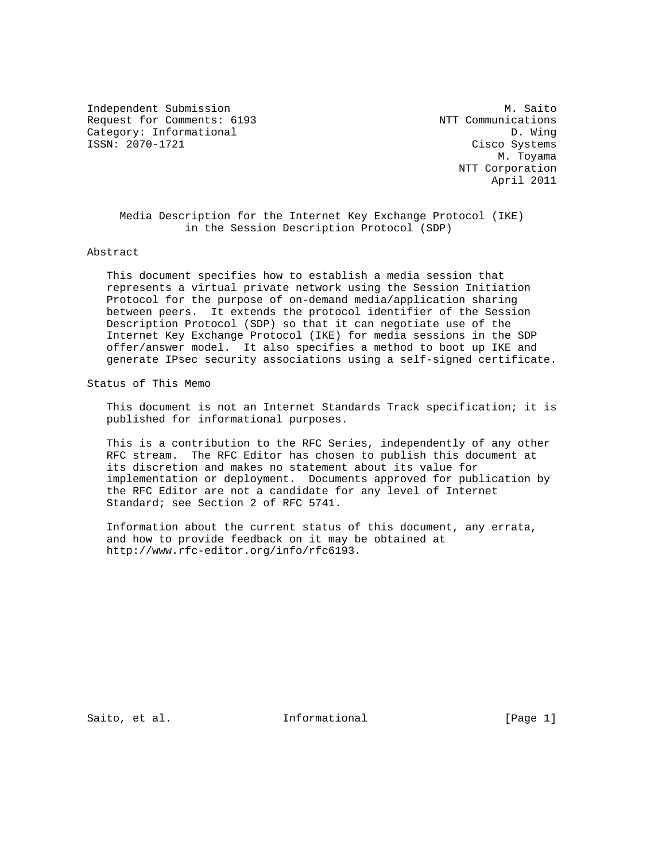Independent Submission M. Saito Request for Comments: 6193 NTT Communications Category: Informational D. Wing ISSN: 2070-1721 Cisco Systems

 M. Toyama NTT Corporation April 2011

 Media Description for the Internet Key Exchange Protocol (IKE) in the Session Description Protocol (SDP)

Abstract

 This document specifies how to establish a media session that represents a virtual private network using the Session Initiation Protocol for the purpose of on-demand media/application sharing between peers. It extends the protocol identifier of the Session Description Protocol (SDP) so that it can negotiate use of the Internet Key Exchange Protocol (IKE) for media sessions in the SDP offer/answer model. It also specifies a method to boot up IKE and generate IPsec security associations using a self-signed certificate.

Status of This Memo

 This document is not an Internet Standards Track specification; it is published for informational purposes.

 This is a contribution to the RFC Series, independently of any other RFC stream. The RFC Editor has chosen to publish this document at its discretion and makes no statement about its value for implementation or deployment. Documents approved for publication by the RFC Editor are not a candidate for any level of Internet Standard; see Section 2 of RFC 5741.

 Information about the current status of this document, any errata, and how to provide feedback on it may be obtained at http://www.rfc-editor.org/info/rfc6193.

Saito, et al. Informational [Page 1]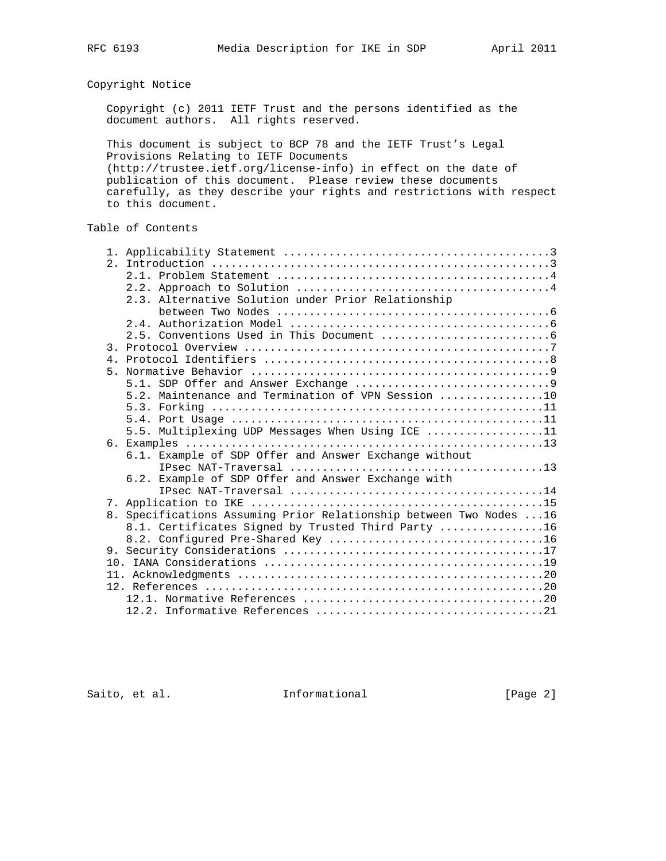# Copyright Notice

 Copyright (c) 2011 IETF Trust and the persons identified as the document authors. All rights reserved.

 This document is subject to BCP 78 and the IETF Trust's Legal Provisions Relating to IETF Documents (http://trustee.ietf.org/license-info) in effect on the date of publication of this document. Please review these documents carefully, as they describe your rights and restrictions with respect to this document.

# Table of Contents

|  | 2.3. Alternative Solution under Prior Relationship                  |
|--|---------------------------------------------------------------------|
|  |                                                                     |
|  |                                                                     |
|  |                                                                     |
|  |                                                                     |
|  |                                                                     |
|  |                                                                     |
|  |                                                                     |
|  | 5.2. Maintenance and Termination of VPN Session 10                  |
|  |                                                                     |
|  |                                                                     |
|  | 5.5. Multiplexing UDP Messages When Using ICE 11                    |
|  |                                                                     |
|  | 6.1. Example of SDP Offer and Answer Exchange without               |
|  |                                                                     |
|  | 6.2. Example of SDP Offer and Answer Exchange with                  |
|  |                                                                     |
|  |                                                                     |
|  | 8. Specifications Assuming Prior Relationship between Two Nodes  16 |
|  | 8.1. Certificates Signed by Trusted Third Party 16                  |
|  |                                                                     |
|  |                                                                     |
|  |                                                                     |
|  |                                                                     |
|  |                                                                     |
|  |                                                                     |
|  |                                                                     |

Saito, et al. 1nformational [Page 2]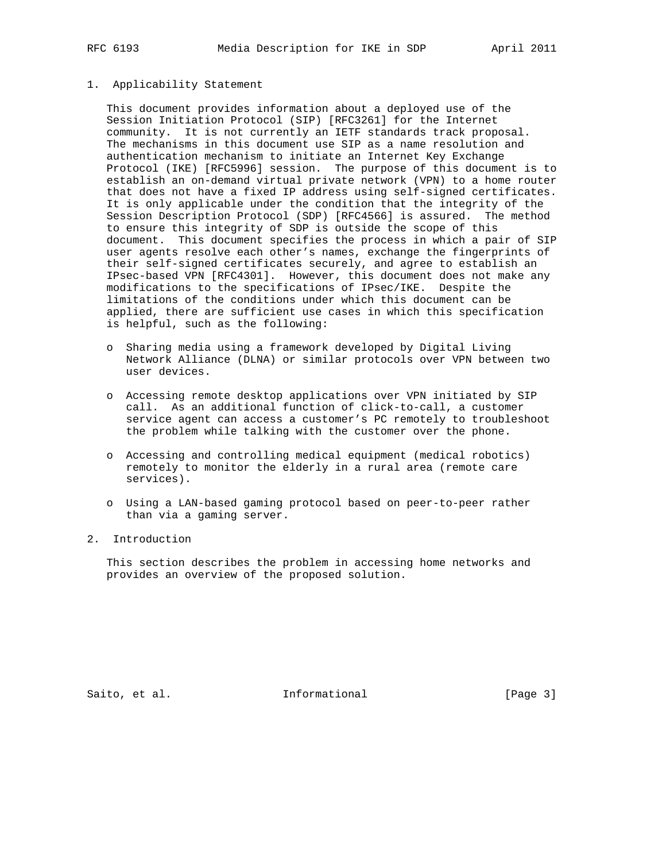### 1. Applicability Statement

 This document provides information about a deployed use of the Session Initiation Protocol (SIP) [RFC3261] for the Internet community. It is not currently an IETF standards track proposal. The mechanisms in this document use SIP as a name resolution and authentication mechanism to initiate an Internet Key Exchange Protocol (IKE) [RFC5996] session. The purpose of this document is to establish an on-demand virtual private network (VPN) to a home router that does not have a fixed IP address using self-signed certificates. It is only applicable under the condition that the integrity of the Session Description Protocol (SDP) [RFC4566] is assured. The method to ensure this integrity of SDP is outside the scope of this document. This document specifies the process in which a pair of SIP user agents resolve each other's names, exchange the fingerprints of their self-signed certificates securely, and agree to establish an IPsec-based VPN [RFC4301]. However, this document does not make any modifications to the specifications of IPsec/IKE. Despite the limitations of the conditions under which this document can be applied, there are sufficient use cases in which this specification is helpful, such as the following:

- o Sharing media using a framework developed by Digital Living Network Alliance (DLNA) or similar protocols over VPN between two user devices.
- o Accessing remote desktop applications over VPN initiated by SIP call. As an additional function of click-to-call, a customer service agent can access a customer's PC remotely to troubleshoot the problem while talking with the customer over the phone.
- o Accessing and controlling medical equipment (medical robotics) remotely to monitor the elderly in a rural area (remote care services).
- o Using a LAN-based gaming protocol based on peer-to-peer rather than via a gaming server.
- 2. Introduction

 This section describes the problem in accessing home networks and provides an overview of the proposed solution.

Saito, et al. 1nformational [Page 3]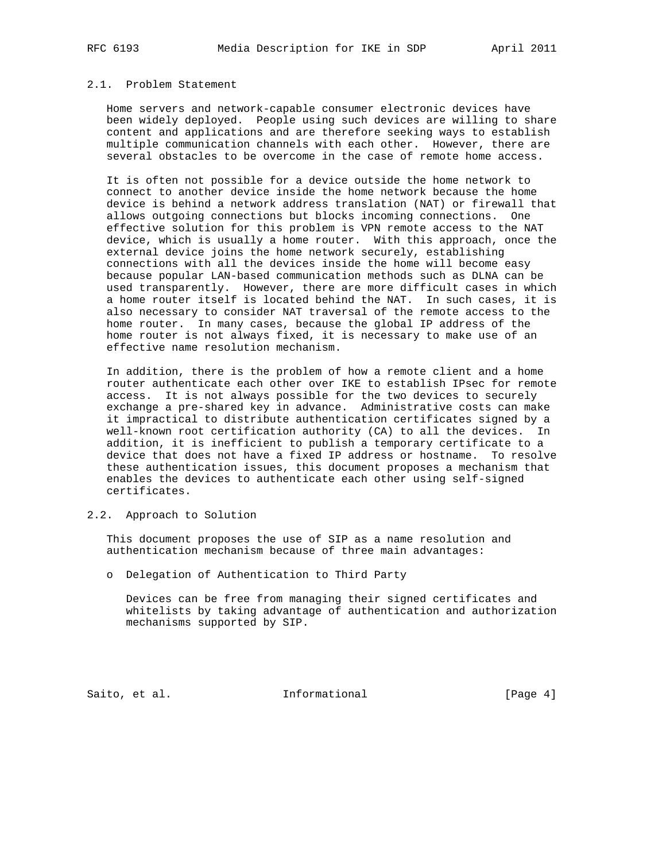## 2.1. Problem Statement

 Home servers and network-capable consumer electronic devices have been widely deployed. People using such devices are willing to share content and applications and are therefore seeking ways to establish multiple communication channels with each other. However, there are several obstacles to be overcome in the case of remote home access.

 It is often not possible for a device outside the home network to connect to another device inside the home network because the home device is behind a network address translation (NAT) or firewall that allows outgoing connections but blocks incoming connections. One effective solution for this problem is VPN remote access to the NAT device, which is usually a home router. With this approach, once the external device joins the home network securely, establishing connections with all the devices inside the home will become easy because popular LAN-based communication methods such as DLNA can be used transparently. However, there are more difficult cases in which a home router itself is located behind the NAT. In such cases, it is also necessary to consider NAT traversal of the remote access to the home router. In many cases, because the global IP address of the home router is not always fixed, it is necessary to make use of an effective name resolution mechanism.

 In addition, there is the problem of how a remote client and a home router authenticate each other over IKE to establish IPsec for remote access. It is not always possible for the two devices to securely exchange a pre-shared key in advance. Administrative costs can make it impractical to distribute authentication certificates signed by a well-known root certification authority (CA) to all the devices. In addition, it is inefficient to publish a temporary certificate to a device that does not have a fixed IP address or hostname. To resolve these authentication issues, this document proposes a mechanism that enables the devices to authenticate each other using self-signed certificates.

2.2. Approach to Solution

 This document proposes the use of SIP as a name resolution and authentication mechanism because of three main advantages:

o Delegation of Authentication to Third Party

 Devices can be free from managing their signed certificates and whitelists by taking advantage of authentication and authorization mechanisms supported by SIP.

Saito, et al. 1nformational [Page 4]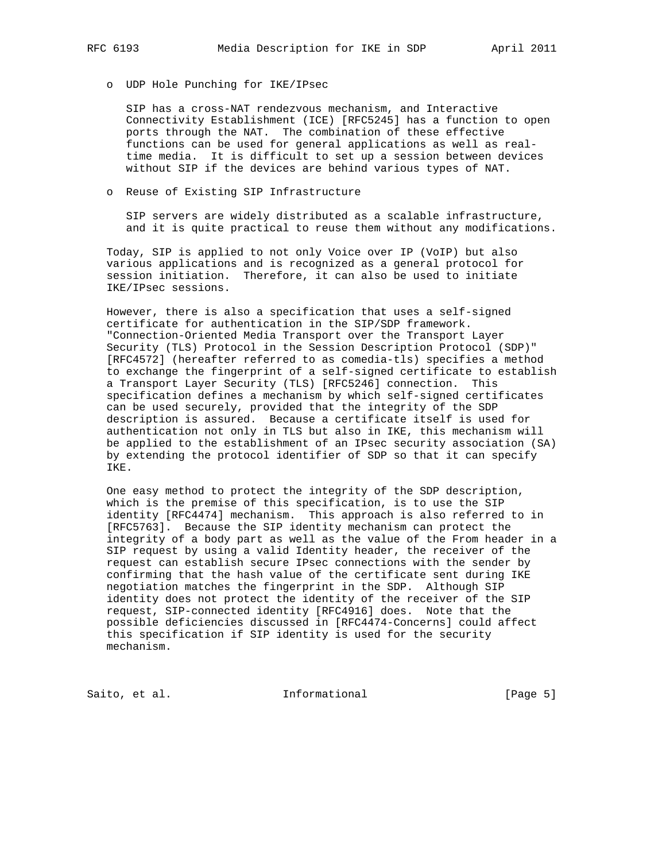o UDP Hole Punching for IKE/IPsec

 SIP has a cross-NAT rendezvous mechanism, and Interactive Connectivity Establishment (ICE) [RFC5245] has a function to open ports through the NAT. The combination of these effective functions can be used for general applications as well as real time media. It is difficult to set up a session between devices without SIP if the devices are behind various types of NAT.

## o Reuse of Existing SIP Infrastructure

 SIP servers are widely distributed as a scalable infrastructure, and it is quite practical to reuse them without any modifications.

 Today, SIP is applied to not only Voice over IP (VoIP) but also various applications and is recognized as a general protocol for session initiation. Therefore, it can also be used to initiate IKE/IPsec sessions.

 However, there is also a specification that uses a self-signed certificate for authentication in the SIP/SDP framework. "Connection-Oriented Media Transport over the Transport Layer Security (TLS) Protocol in the Session Description Protocol (SDP)" [RFC4572] (hereafter referred to as comedia-tls) specifies a method to exchange the fingerprint of a self-signed certificate to establish a Transport Layer Security (TLS) [RFC5246] connection. This specification defines a mechanism by which self-signed certificates can be used securely, provided that the integrity of the SDP description is assured. Because a certificate itself is used for authentication not only in TLS but also in IKE, this mechanism will be applied to the establishment of an IPsec security association (SA) by extending the protocol identifier of SDP so that it can specify IKE.

 One easy method to protect the integrity of the SDP description, which is the premise of this specification, is to use the SIP identity [RFC4474] mechanism. This approach is also referred to in [RFC5763]. Because the SIP identity mechanism can protect the integrity of a body part as well as the value of the From header in a SIP request by using a valid Identity header, the receiver of the request can establish secure IPsec connections with the sender by confirming that the hash value of the certificate sent during IKE negotiation matches the fingerprint in the SDP. Although SIP identity does not protect the identity of the receiver of the SIP request, SIP-connected identity [RFC4916] does. Note that the possible deficiencies discussed in [RFC4474-Concerns] could affect this specification if SIP identity is used for the security mechanism.

Saito, et al. 1nformational [Page 5]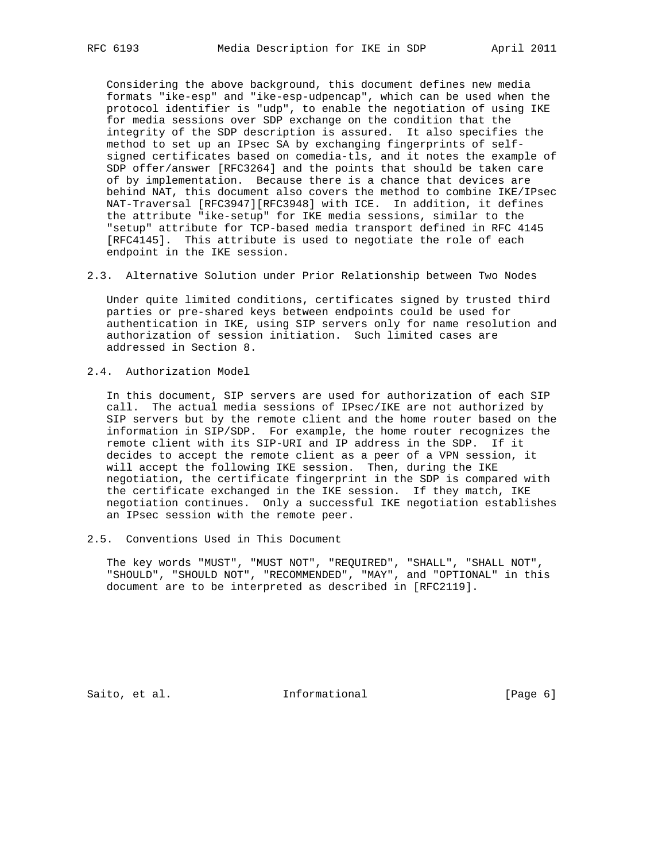Considering the above background, this document defines new media formats "ike-esp" and "ike-esp-udpencap", which can be used when the protocol identifier is "udp", to enable the negotiation of using IKE for media sessions over SDP exchange on the condition that the integrity of the SDP description is assured. It also specifies the method to set up an IPsec SA by exchanging fingerprints of self signed certificates based on comedia-tls, and it notes the example of SDP offer/answer [RFC3264] and the points that should be taken care of by implementation. Because there is a chance that devices are behind NAT, this document also covers the method to combine IKE/IPsec NAT-Traversal [RFC3947][RFC3948] with ICE. In addition, it defines the attribute "ike-setup" for IKE media sessions, similar to the "setup" attribute for TCP-based media transport defined in RFC 4145 [RFC4145]. This attribute is used to negotiate the role of each endpoint in the IKE session.

2.3. Alternative Solution under Prior Relationship between Two Nodes

 Under quite limited conditions, certificates signed by trusted third parties or pre-shared keys between endpoints could be used for authentication in IKE, using SIP servers only for name resolution and authorization of session initiation. Such limited cases are addressed in Section 8.

2.4. Authorization Model

 In this document, SIP servers are used for authorization of each SIP call. The actual media sessions of IPsec/IKE are not authorized by SIP servers but by the remote client and the home router based on the information in SIP/SDP. For example, the home router recognizes the remote client with its SIP-URI and IP address in the SDP. If it decides to accept the remote client as a peer of a VPN session, it will accept the following IKE session. Then, during the IKE negotiation, the certificate fingerprint in the SDP is compared with the certificate exchanged in the IKE session. If they match, IKE negotiation continues. Only a successful IKE negotiation establishes an IPsec session with the remote peer.

2.5. Conventions Used in This Document

 The key words "MUST", "MUST NOT", "REQUIRED", "SHALL", "SHALL NOT", "SHOULD", "SHOULD NOT", "RECOMMENDED", "MAY", and "OPTIONAL" in this document are to be interpreted as described in [RFC2119].

Saito, et al. 1nformational [Page 6]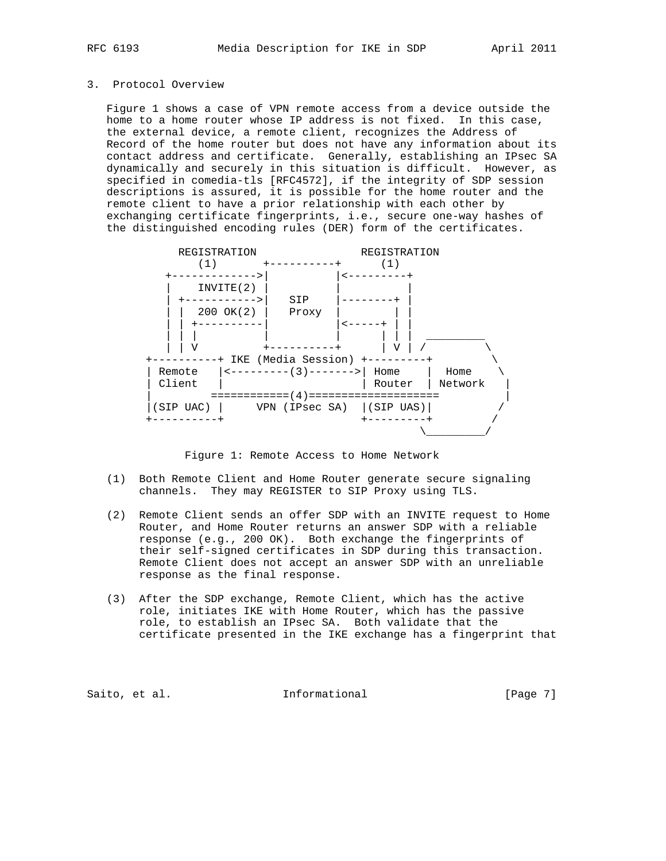# 3. Protocol Overview

 Figure 1 shows a case of VPN remote access from a device outside the home to a home router whose IP address is not fixed. In this case, the external device, a remote client, recognizes the Address of Record of the home router but does not have any information about its contact address and certificate. Generally, establishing an IPsec SA dynamically and securely in this situation is difficult. However, as specified in comedia-tls [RFC4572], if the integrity of SDP session descriptions is assured, it is possible for the home router and the remote client to have a prior relationship with each other by exchanging certificate fingerprints, i.e., secure one-way hashes of the distinguished encoding rules (DER) form of the certificates.



Figure 1: Remote Access to Home Network

- (1) Both Remote Client and Home Router generate secure signaling channels. They may REGISTER to SIP Proxy using TLS.
- (2) Remote Client sends an offer SDP with an INVITE request to Home Router, and Home Router returns an answer SDP with a reliable response (e.g., 200 OK). Both exchange the fingerprints of their self-signed certificates in SDP during this transaction. Remote Client does not accept an answer SDP with an unreliable response as the final response.
- (3) After the SDP exchange, Remote Client, which has the active role, initiates IKE with Home Router, which has the passive role, to establish an IPsec SA. Both validate that the certificate presented in the IKE exchange has a fingerprint that

Saito, et al.  $\qquad \qquad$  Informational  $[Page 7]$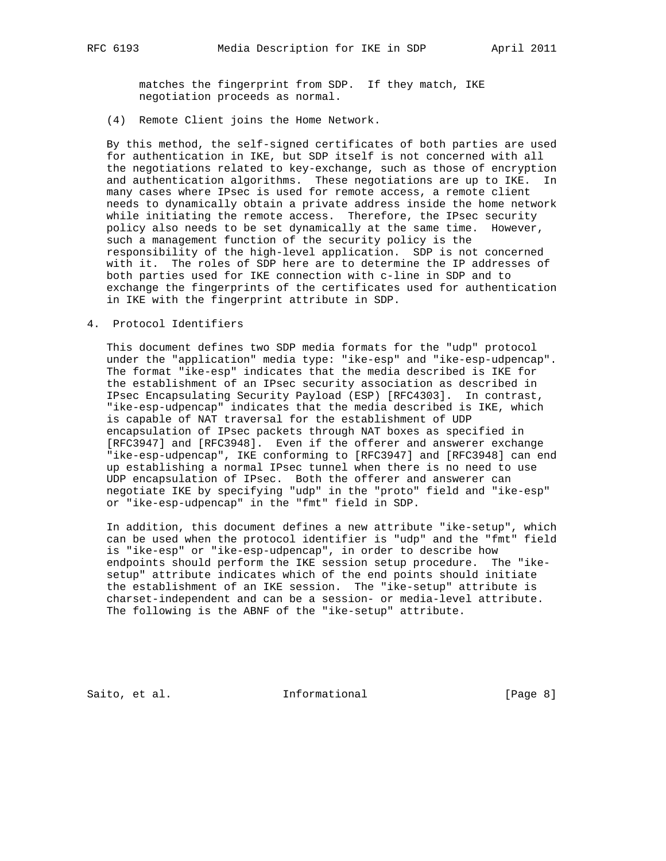matches the fingerprint from SDP. If they match, IKE negotiation proceeds as normal.

(4) Remote Client joins the Home Network.

 By this method, the self-signed certificates of both parties are used for authentication in IKE, but SDP itself is not concerned with all the negotiations related to key-exchange, such as those of encryption and authentication algorithms. These negotiations are up to IKE. In many cases where IPsec is used for remote access, a remote client needs to dynamically obtain a private address inside the home network while initiating the remote access. Therefore, the IPsec security policy also needs to be set dynamically at the same time. However, such a management function of the security policy is the responsibility of the high-level application. SDP is not concerned with it. The roles of SDP here are to determine the IP addresses of both parties used for IKE connection with c-line in SDP and to exchange the fingerprints of the certificates used for authentication in IKE with the fingerprint attribute in SDP.

#### 4. Protocol Identifiers

 This document defines two SDP media formats for the "udp" protocol under the "application" media type: "ike-esp" and "ike-esp-udpencap". The format "ike-esp" indicates that the media described is IKE for the establishment of an IPsec security association as described in IPsec Encapsulating Security Payload (ESP) [RFC4303]. In contrast, "ike-esp-udpencap" indicates that the media described is IKE, which is capable of NAT traversal for the establishment of UDP encapsulation of IPsec packets through NAT boxes as specified in [RFC3947] and [RFC3948]. Even if the offerer and answerer exchange "ike-esp-udpencap", IKE conforming to [RFC3947] and [RFC3948] can end up establishing a normal IPsec tunnel when there is no need to use UDP encapsulation of IPsec. Both the offerer and answerer can negotiate IKE by specifying "udp" in the "proto" field and "ike-esp" or "ike-esp-udpencap" in the "fmt" field in SDP.

 In addition, this document defines a new attribute "ike-setup", which can be used when the protocol identifier is "udp" and the "fmt" field is "ike-esp" or "ike-esp-udpencap", in order to describe how endpoints should perform the IKE session setup procedure. The "ike setup" attribute indicates which of the end points should initiate the establishment of an IKE session. The "ike-setup" attribute is charset-independent and can be a session- or media-level attribute. The following is the ABNF of the "ike-setup" attribute.

Saito, et al. 1nformational [Page 8]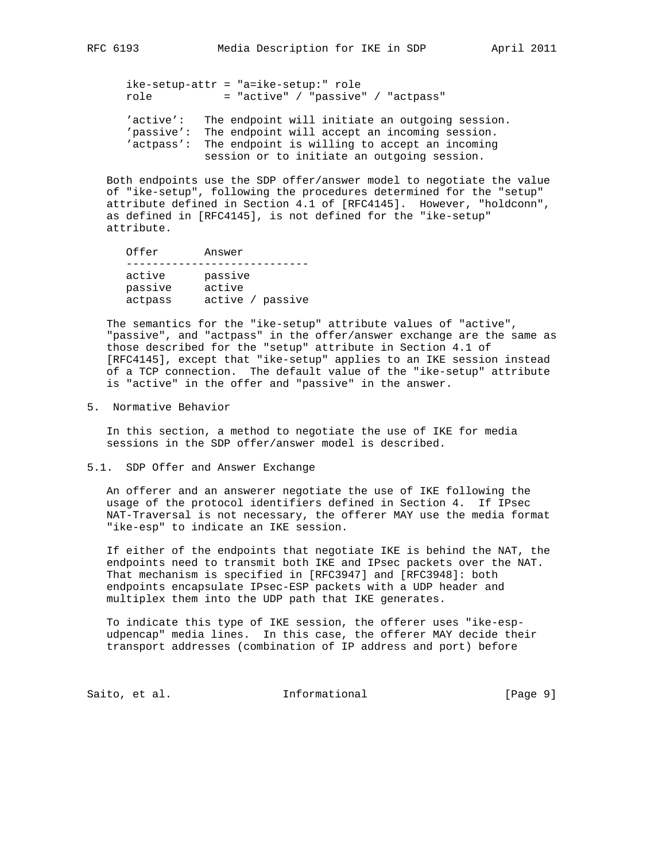```
 ike-setup-attr = "a=ike-setup:" role
 role = "active" / "passive" / "actpass"
```
 'active': The endpoint will initiate an outgoing session. 'passive': The endpoint will accept an incoming session. 'actpass': The endpoint is willing to accept an incoming session or to initiate an outgoing session.

 Both endpoints use the SDP offer/answer model to negotiate the value of "ike-setup", following the procedures determined for the "setup" attribute defined in Section 4.1 of [RFC4145]. However, "holdconn", as defined in [RFC4145], is not defined for the "ike-setup" attribute.

| Offer   | Answer           |
|---------|------------------|
|         |                  |
| active  | passive          |
| passive | active           |
| actpass | active / passive |

 The semantics for the "ike-setup" attribute values of "active", "passive", and "actpass" in the offer/answer exchange are the same as those described for the "setup" attribute in Section 4.1 of [RFC4145], except that "ike-setup" applies to an IKE session instead of a TCP connection. The default value of the "ike-setup" attribute is "active" in the offer and "passive" in the answer.

5. Normative Behavior

 In this section, a method to negotiate the use of IKE for media sessions in the SDP offer/answer model is described.

5.1. SDP Offer and Answer Exchange

 An offerer and an answerer negotiate the use of IKE following the usage of the protocol identifiers defined in Section 4. If IPsec NAT-Traversal is not necessary, the offerer MAY use the media format "ike-esp" to indicate an IKE session.

 If either of the endpoints that negotiate IKE is behind the NAT, the endpoints need to transmit both IKE and IPsec packets over the NAT. That mechanism is specified in [RFC3947] and [RFC3948]: both endpoints encapsulate IPsec-ESP packets with a UDP header and multiplex them into the UDP path that IKE generates.

 To indicate this type of IKE session, the offerer uses "ike-esp udpencap" media lines. In this case, the offerer MAY decide their transport addresses (combination of IP address and port) before

Saito, et al. 1nformational [Page 9]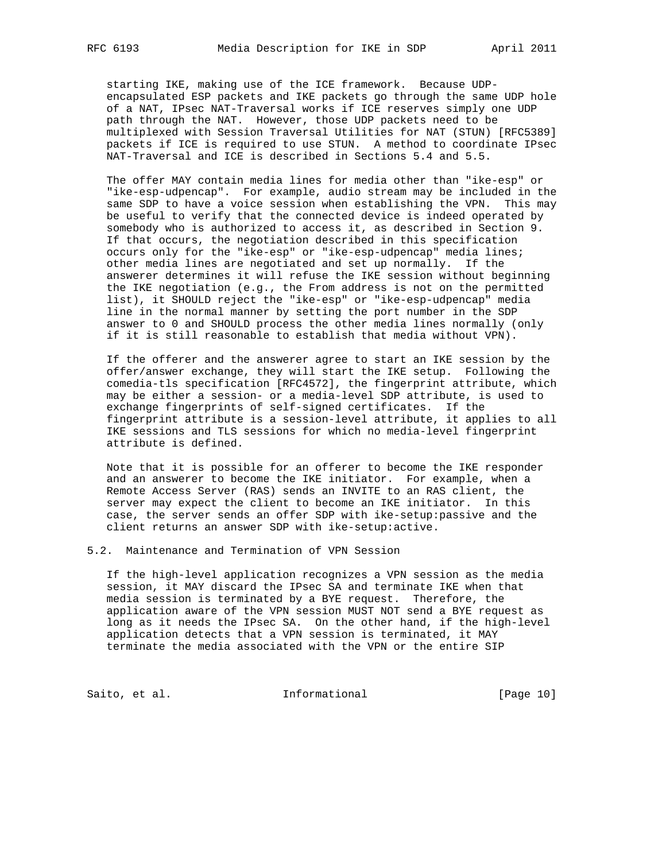starting IKE, making use of the ICE framework. Because UDP encapsulated ESP packets and IKE packets go through the same UDP hole of a NAT, IPsec NAT-Traversal works if ICE reserves simply one UDP path through the NAT. However, those UDP packets need to be multiplexed with Session Traversal Utilities for NAT (STUN) [RFC5389] packets if ICE is required to use STUN. A method to coordinate IPsec NAT-Traversal and ICE is described in Sections 5.4 and 5.5.

 The offer MAY contain media lines for media other than "ike-esp" or "ike-esp-udpencap". For example, audio stream may be included in the same SDP to have a voice session when establishing the VPN. This may be useful to verify that the connected device is indeed operated by somebody who is authorized to access it, as described in Section 9. If that occurs, the negotiation described in this specification occurs only for the "ike-esp" or "ike-esp-udpencap" media lines; other media lines are negotiated and set up normally. If the answerer determines it will refuse the IKE session without beginning the IKE negotiation (e.g., the From address is not on the permitted list), it SHOULD reject the "ike-esp" or "ike-esp-udpencap" media line in the normal manner by setting the port number in the SDP answer to 0 and SHOULD process the other media lines normally (only if it is still reasonable to establish that media without VPN).

 If the offerer and the answerer agree to start an IKE session by the offer/answer exchange, they will start the IKE setup. Following the comedia-tls specification [RFC4572], the fingerprint attribute, which may be either a session- or a media-level SDP attribute, is used to exchange fingerprints of self-signed certificates. If the fingerprint attribute is a session-level attribute, it applies to all IKE sessions and TLS sessions for which no media-level fingerprint attribute is defined.

 Note that it is possible for an offerer to become the IKE responder and an answerer to become the IKE initiator. For example, when a Remote Access Server (RAS) sends an INVITE to an RAS client, the server may expect the client to become an IKE initiator. In this case, the server sends an offer SDP with ike-setup:passive and the client returns an answer SDP with ike-setup:active.

5.2. Maintenance and Termination of VPN Session

 If the high-level application recognizes a VPN session as the media session, it MAY discard the IPsec SA and terminate IKE when that media session is terminated by a BYE request. Therefore, the application aware of the VPN session MUST NOT send a BYE request as long as it needs the IPsec SA. On the other hand, if the high-level application detects that a VPN session is terminated, it MAY terminate the media associated with the VPN or the entire SIP

Saito, et al. 1nformational [Page 10]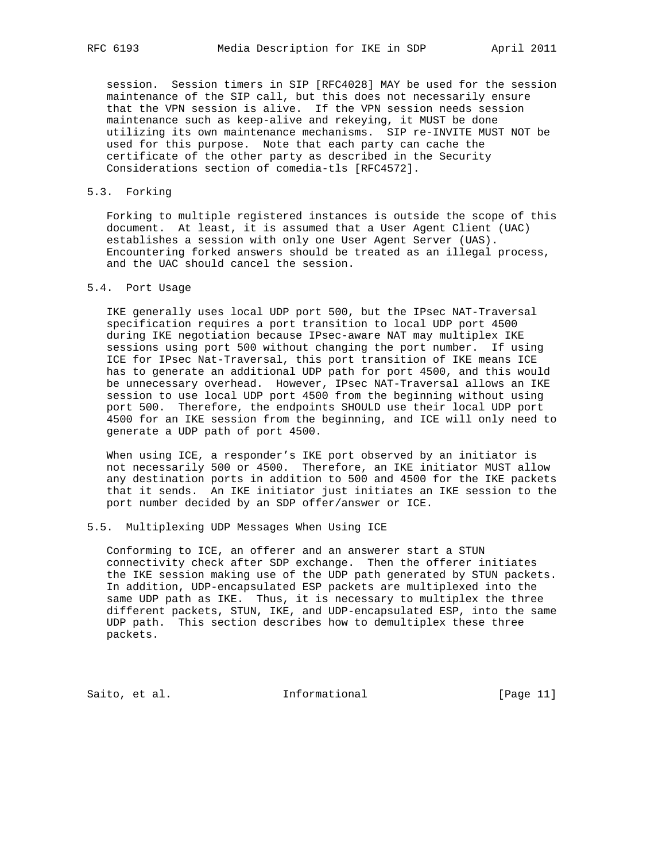session. Session timers in SIP [RFC4028] MAY be used for the session maintenance of the SIP call, but this does not necessarily ensure that the VPN session is alive. If the VPN session needs session maintenance such as keep-alive and rekeying, it MUST be done utilizing its own maintenance mechanisms. SIP re-INVITE MUST NOT be used for this purpose. Note that each party can cache the certificate of the other party as described in the Security Considerations section of comedia-tls [RFC4572].

### 5.3. Forking

 Forking to multiple registered instances is outside the scope of this document. At least, it is assumed that a User Agent Client (UAC) establishes a session with only one User Agent Server (UAS). Encountering forked answers should be treated as an illegal process, and the UAC should cancel the session.

## 5.4. Port Usage

 IKE generally uses local UDP port 500, but the IPsec NAT-Traversal specification requires a port transition to local UDP port 4500 during IKE negotiation because IPsec-aware NAT may multiplex IKE sessions using port 500 without changing the port number. If using ICE for IPsec Nat-Traversal, this port transition of IKE means ICE has to generate an additional UDP path for port 4500, and this would be unnecessary overhead. However, IPsec NAT-Traversal allows an IKE session to use local UDP port 4500 from the beginning without using port 500. Therefore, the endpoints SHOULD use their local UDP port 4500 for an IKE session from the beginning, and ICE will only need to generate a UDP path of port 4500.

 When using ICE, a responder's IKE port observed by an initiator is not necessarily 500 or 4500. Therefore, an IKE initiator MUST allow any destination ports in addition to 500 and 4500 for the IKE packets that it sends. An IKE initiator just initiates an IKE session to the port number decided by an SDP offer/answer or ICE.

## 5.5. Multiplexing UDP Messages When Using ICE

 Conforming to ICE, an offerer and an answerer start a STUN connectivity check after SDP exchange. Then the offerer initiates the IKE session making use of the UDP path generated by STUN packets. In addition, UDP-encapsulated ESP packets are multiplexed into the same UDP path as IKE. Thus, it is necessary to multiplex the three different packets, STUN, IKE, and UDP-encapsulated ESP, into the same UDP path. This section describes how to demultiplex these three packets.

Saito, et al. 10 methormational [Page 11]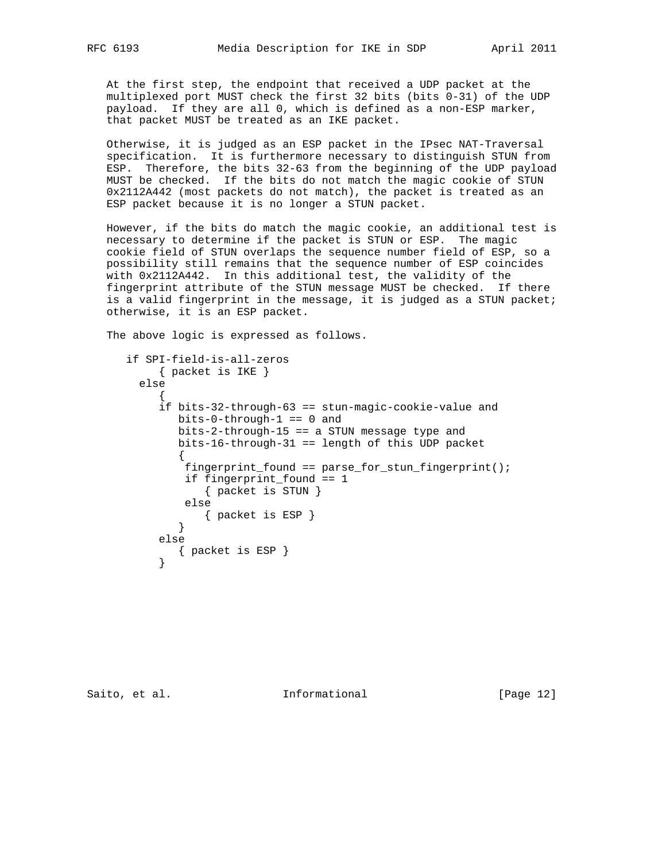At the first step, the endpoint that received a UDP packet at the multiplexed port MUST check the first 32 bits (bits 0-31) of the UDP payload. If they are all 0, which is defined as a non-ESP marker, that packet MUST be treated as an IKE packet.

 Otherwise, it is judged as an ESP packet in the IPsec NAT-Traversal specification. It is furthermore necessary to distinguish STUN from ESP. Therefore, the bits 32-63 from the beginning of the UDP payload MUST be checked. If the bits do not match the magic cookie of STUN 0x2112A442 (most packets do not match), the packet is treated as an ESP packet because it is no longer a STUN packet.

 However, if the bits do match the magic cookie, an additional test is necessary to determine if the packet is STUN or ESP. The magic cookie field of STUN overlaps the sequence number field of ESP, so a possibility still remains that the sequence number of ESP coincides with 0x2112A442. In this additional test, the validity of the fingerprint attribute of the STUN message MUST be checked. If there is a valid fingerprint in the message, it is judged as a STUN packet; otherwise, it is an ESP packet.

The above logic is expressed as follows.

```
 if SPI-field-is-all-zeros
          { packet is IKE }
        else
\{ if bits-32-through-63 == stun-magic-cookie-value and
            bits-0-th rough-1 == 0 and bits-2-through-15 == a STUN message type and
             bits-16-through-31 == length of this UDP packet
\{fingerprint_found == parse_for_stun_fingerprint();
              if fingerprint_found == 1
                { packet is STUN }
              else
            { packet is ESP }
 }
          else
             { packet is ESP }
 }
```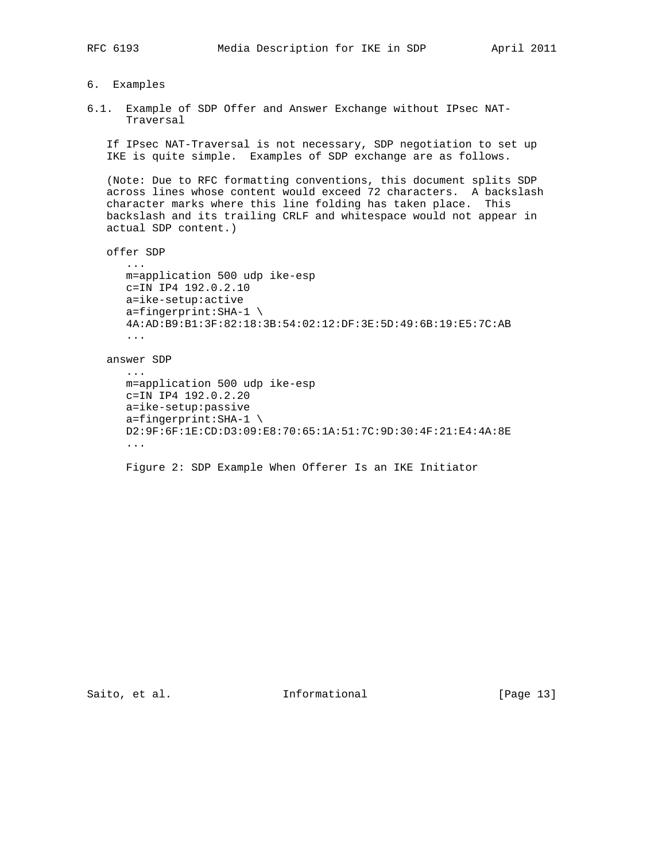- 6. Examples
- 6.1. Example of SDP Offer and Answer Exchange without IPsec NAT- Traversal

 If IPsec NAT-Traversal is not necessary, SDP negotiation to set up IKE is quite simple. Examples of SDP exchange are as follows.

 (Note: Due to RFC formatting conventions, this document splits SDP across lines whose content would exceed 72 characters. A backslash character marks where this line folding has taken place. This backslash and its trailing CRLF and whitespace would not appear in actual SDP content.)

offer SDP

```
 ...
 m=application 500 udp ike-esp
 c=IN IP4 192.0.2.10
 a=ike-setup:active
 a=fingerprint:SHA-1 \
 4A:AD:B9:B1:3F:82:18:3B:54:02:12:DF:3E:5D:49:6B:19:E5:7C:AB
 ...
```
answer SDP

```
 ...
 m=application 500 udp ike-esp
 c=IN IP4 192.0.2.20
 a=ike-setup:passive
 a=fingerprint:SHA-1 \
 D2:9F:6F:1E:CD:D3:09:E8:70:65:1A:51:7C:9D:30:4F:21:E4:4A:8E
 ...
```
Figure 2: SDP Example When Offerer Is an IKE Initiator

Saito, et al. 1nformational [Page 13]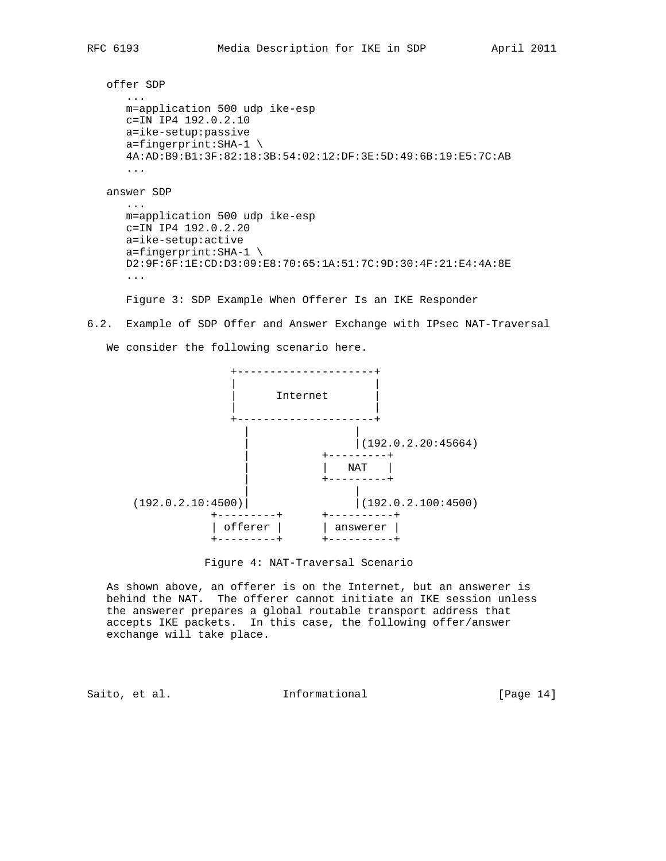```
 offer SDP
    ...
    m=application 500 udp ike-esp
    c=IN IP4 192.0.2.10
    a=ike-setup:passive
    a=fingerprint:SHA-1 \
    4A:AD:B9:B1:3F:82:18:3B:54:02:12:DF:3E:5D:49:6B:19:E5:7C:AB
    ...
 answer SDP
    ...
    m=application 500 udp ike-esp
```

```
 c=IN IP4 192.0.2.20
 a=ike-setup:active
 a=fingerprint:SHA-1 \
 D2:9F:6F:1E:CD:D3:09:E8:70:65:1A:51:7C:9D:30:4F:21:E4:4A:8E
 ...
```
Figure 3: SDP Example When Offerer Is an IKE Responder

6.2. Example of SDP Offer and Answer Exchange with IPsec NAT-Traversal We consider the following scenario here.



Figure 4: NAT-Traversal Scenario

 As shown above, an offerer is on the Internet, but an answerer is behind the NAT. The offerer cannot initiate an IKE session unless the answerer prepares a global routable transport address that accepts IKE packets. In this case, the following offer/answer exchange will take place.

Saito, et al. 10 methormational [Page 14]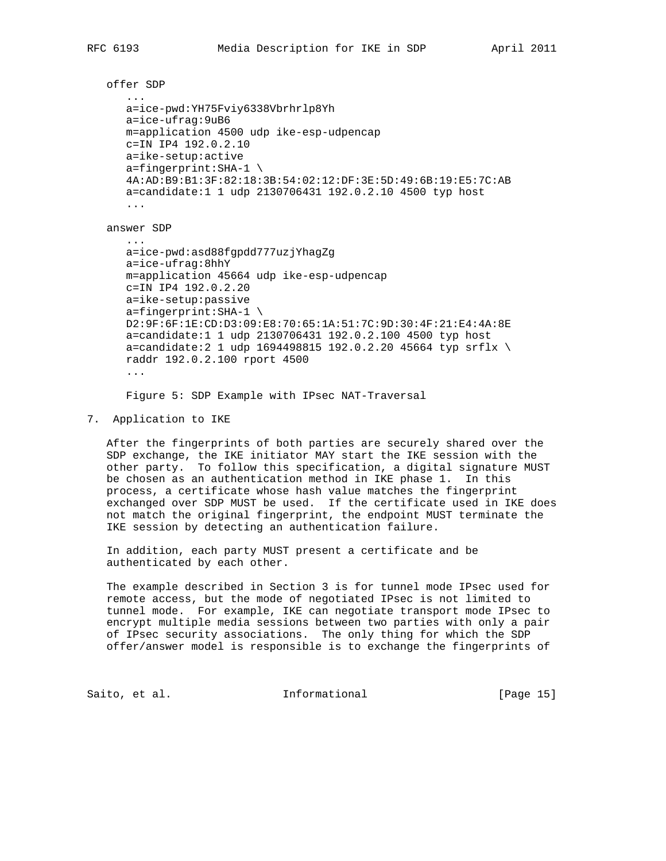```
 offer SDP
    ...
    a=ice-pwd:YH75Fviy6338Vbrhrlp8Yh
    a=ice-ufrag:9uB6
    m=application 4500 udp ike-esp-udpencap
    c=IN IP4 192.0.2.10
    a=ike-setup:active
    a=fingerprint:SHA-1 \
    4A:AD:B9:B1:3F:82:18:3B:54:02:12:DF:3E:5D:49:6B:19:E5:7C:AB
    a=candidate:1 1 udp 2130706431 192.0.2.10 4500 typ host
    ...
 answer SDP
    ...
    a=ice-pwd:asd88fgpdd777uzjYhagZg
    a=ice-ufrag:8hhY
    m=application 45664 udp ike-esp-udpencap
    c=IN IP4 192.0.2.20
    a=ike-setup:passive
    a=fingerprint:SHA-1 \
    D2:9F:6F:1E:CD:D3:09:E8:70:65:1A:51:7C:9D:30:4F:21:E4:4A:8E
    a=candidate:1 1 udp 2130706431 192.0.2.100 4500 typ host
   a=candidate:2 1 udp 1694498815 192.0.2.20 45664 typ srflx \
    raddr 192.0.2.100 rport 4500
    ...
```
Figure 5: SDP Example with IPsec NAT-Traversal

7. Application to IKE

 After the fingerprints of both parties are securely shared over the SDP exchange, the IKE initiator MAY start the IKE session with the other party. To follow this specification, a digital signature MUST be chosen as an authentication method in IKE phase 1. In this process, a certificate whose hash value matches the fingerprint exchanged over SDP MUST be used. If the certificate used in IKE does not match the original fingerprint, the endpoint MUST terminate the IKE session by detecting an authentication failure.

 In addition, each party MUST present a certificate and be authenticated by each other.

 The example described in Section 3 is for tunnel mode IPsec used for remote access, but the mode of negotiated IPsec is not limited to tunnel mode. For example, IKE can negotiate transport mode IPsec to encrypt multiple media sessions between two parties with only a pair of IPsec security associations. The only thing for which the SDP offer/answer model is responsible is to exchange the fingerprints of

Saito, et al. 10 methormational [Page 15]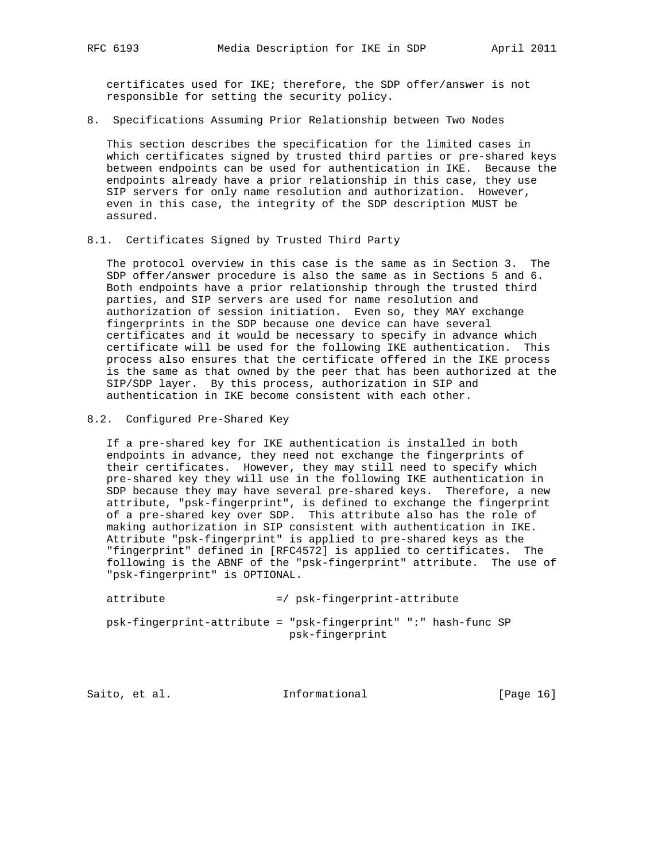certificates used for IKE; therefore, the SDP offer/answer is not responsible for setting the security policy.

8. Specifications Assuming Prior Relationship between Two Nodes

 This section describes the specification for the limited cases in which certificates signed by trusted third parties or pre-shared keys between endpoints can be used for authentication in IKE. Because the endpoints already have a prior relationship in this case, they use SIP servers for only name resolution and authorization. However, even in this case, the integrity of the SDP description MUST be assured.

### 8.1. Certificates Signed by Trusted Third Party

 The protocol overview in this case is the same as in Section 3. The SDP offer/answer procedure is also the same as in Sections 5 and 6. Both endpoints have a prior relationship through the trusted third parties, and SIP servers are used for name resolution and authorization of session initiation. Even so, they MAY exchange fingerprints in the SDP because one device can have several certificates and it would be necessary to specify in advance which certificate will be used for the following IKE authentication. This process also ensures that the certificate offered in the IKE process is the same as that owned by the peer that has been authorized at the SIP/SDP layer. By this process, authorization in SIP and authentication in IKE become consistent with each other.

8.2. Configured Pre-Shared Key

 If a pre-shared key for IKE authentication is installed in both endpoints in advance, they need not exchange the fingerprints of their certificates. However, they may still need to specify which pre-shared key they will use in the following IKE authentication in SDP because they may have several pre-shared keys. Therefore, a new attribute, "psk-fingerprint", is defined to exchange the fingerprint of a pre-shared key over SDP. This attribute also has the role of making authorization in SIP consistent with authentication in IKE. Attribute "psk-fingerprint" is applied to pre-shared keys as the "fingerprint" defined in [RFC4572] is applied to certificates. The following is the ABNF of the "psk-fingerprint" attribute. The use of "psk-fingerprint" is OPTIONAL.

| attribute                                                      |  | =/ psk-fingerprint-attribute |  |  |  |  |
|----------------------------------------------------------------|--|------------------------------|--|--|--|--|
| psk-fingerprint-attribute = "psk-fingerprint" ":" hash-func SP |  | psk-fingerprint              |  |  |  |  |

Saito, et al. 1nformational [Page 16]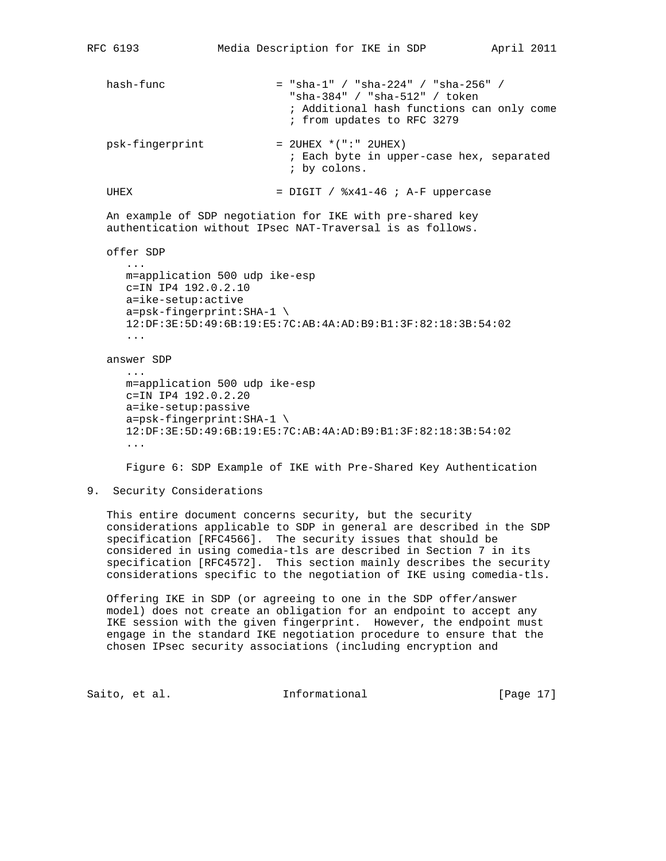```
hash-func = "sha-1" / "sha-224" / "sha-256" /
                             "sha-384" / "sha-512" / token
                             ; Additional hash functions can only come
                             ; from updates to RFC 3279
psk-fingerprint = 2UHEX *(";" 2UHER) ; Each byte in upper-case hex, separated
                             ; by colons.
UHEX = DIGIT / \frac{1}{2}x41-46 ; A-F uppercase
 An example of SDP negotiation for IKE with pre-shared key
 authentication without IPsec NAT-Traversal is as follows.
 offer SDP
    ...
   m=application 500 udp ike-esp
   c=IN IP4 192.0.2.10
   a=ike-setup:active
   a=psk-fingerprint:SHA-1 \
    12:DF:3E:5D:49:6B:19:E5:7C:AB:4A:AD:B9:B1:3F:82:18:3B:54:02
    ...
 answer SDP
    ...
   m=application 500 udp ike-esp
   c=IN IP4 192.0.2.20
    a=ike-setup:passive
    a=psk-fingerprint:SHA-1 \
   12:DF:3E:5D:49:6B:19:E5:7C:AB:4A:AD:B9:B1:3F:82:18:3B:54:02
    ...
    Figure 6: SDP Example of IKE with Pre-Shared Key Authentication
```
9. Security Considerations

 This entire document concerns security, but the security considerations applicable to SDP in general are described in the SDP specification [RFC4566]. The security issues that should be considered in using comedia-tls are described in Section 7 in its specification [RFC4572]. This section mainly describes the security considerations specific to the negotiation of IKE using comedia-tls.

 Offering IKE in SDP (or agreeing to one in the SDP offer/answer model) does not create an obligation for an endpoint to accept any IKE session with the given fingerprint. However, the endpoint must engage in the standard IKE negotiation procedure to ensure that the chosen IPsec security associations (including encryption and

Saito, et al. Informational [Page 17]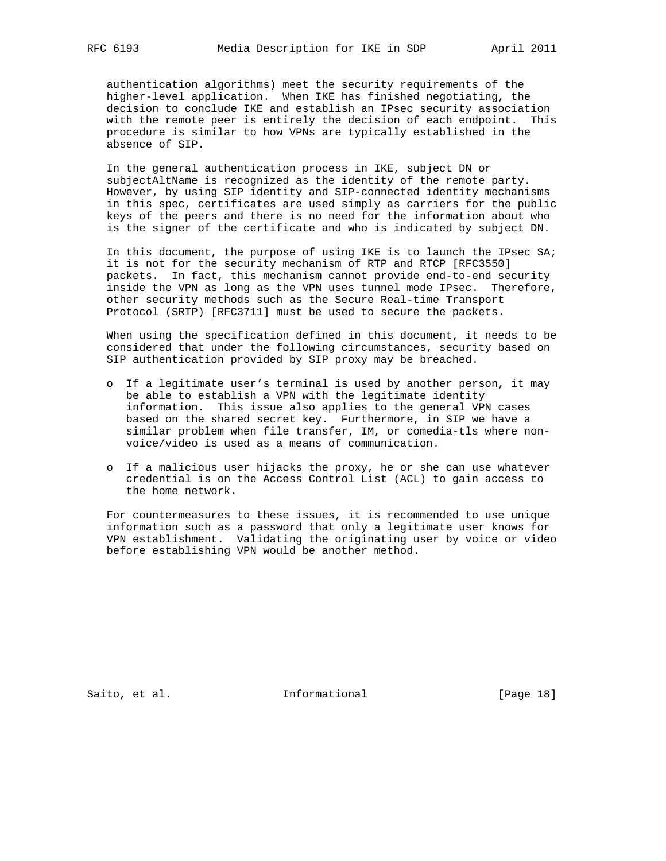authentication algorithms) meet the security requirements of the higher-level application. When IKE has finished negotiating, the decision to conclude IKE and establish an IPsec security association with the remote peer is entirely the decision of each endpoint. This procedure is similar to how VPNs are typically established in the absence of SIP.

 In the general authentication process in IKE, subject DN or subjectAltName is recognized as the identity of the remote party. However, by using SIP identity and SIP-connected identity mechanisms in this spec, certificates are used simply as carriers for the public keys of the peers and there is no need for the information about who is the signer of the certificate and who is indicated by subject DN.

 In this document, the purpose of using IKE is to launch the IPsec SA; it is not for the security mechanism of RTP and RTCP [RFC3550] packets. In fact, this mechanism cannot provide end-to-end security inside the VPN as long as the VPN uses tunnel mode IPsec. Therefore, other security methods such as the Secure Real-time Transport Protocol (SRTP) [RFC3711] must be used to secure the packets.

 When using the specification defined in this document, it needs to be considered that under the following circumstances, security based on SIP authentication provided by SIP proxy may be breached.

- o If a legitimate user's terminal is used by another person, it may be able to establish a VPN with the legitimate identity information. This issue also applies to the general VPN cases based on the shared secret key. Furthermore, in SIP we have a similar problem when file transfer, IM, or comedia-tls where non voice/video is used as a means of communication.
- o If a malicious user hijacks the proxy, he or she can use whatever credential is on the Access Control List (ACL) to gain access to the home network.

 For countermeasures to these issues, it is recommended to use unique information such as a password that only a legitimate user knows for VPN establishment. Validating the originating user by voice or video before establishing VPN would be another method.

Saito, et al. 1nformational [Page 18]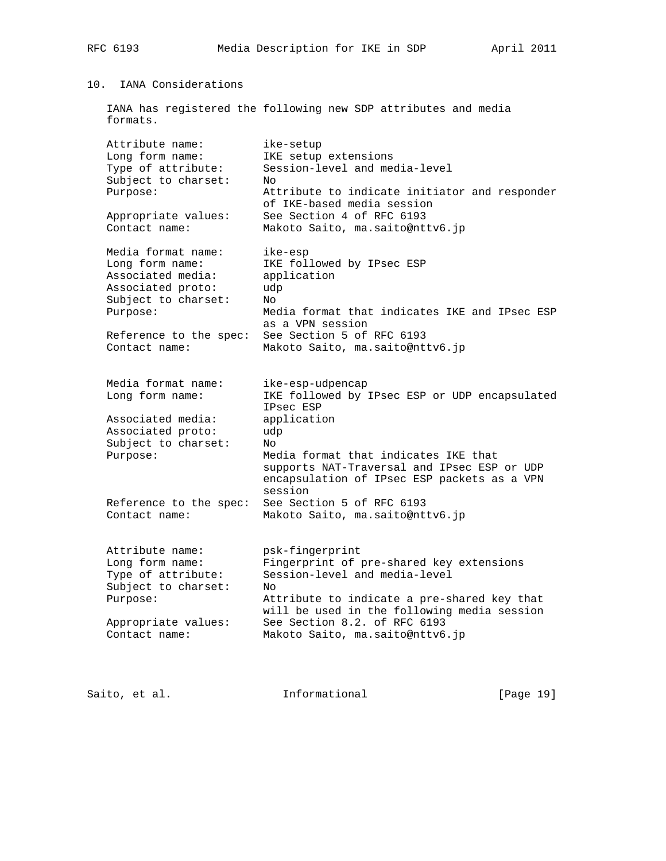## 10. IANA Considerations

 IANA has registered the following new SDP attributes and media formats.

Attribute name: ike-setup<br>  $I \cap \alpha$  form  $n \cap \alpha$ :  $I' \cap I' \cap \alpha$  Long form name: IKE setup extensions Type of attribute: Session-level and media-level Subject to charset: No Purpose:  $\hbox{Attribute to indicate initiator and responder}$  of IKE-based media session Appropriate values: See Section 4 of RFC 6193 Contact name: Makoto Saito, ma.saito@nttv6.jp Media format name: ike-esp Long form name: IKE followed by IPsec ESP Associated media: application Associated proto: udp Subject to charset: No Purpose: The Media format that indicates IKE and IPsec ESP as a VPN session Reference to the spec: See Section 5 of RFC 6193 Contact name: Makoto Saito, ma.saito@nttv6.jp Media format name: ike-esp-udpencap Long form name: IKE followed by IPsec ESP or UDP encapsulated IPsec ESP Associated media: application Associated proto: udp Subject to charset: No Purpose: Media format that indicates IKE that supports NAT-Traversal and IPsec ESP or UDP encapsulation of IPsec ESP packets as a VPN session Reference to the spec: See Section 5 of RFC 6193 Contact name: Makoto Saito, ma.saito@nttv6.jp Attribute name: psk-fingerprint Long form name: Fingerprint of pre-shared key extensions Type of attribute: Session-level and media-level Subject to charset: No Purpose: Attribute to indicate a pre-shared key that will be used in the following media session Appropriate values: See Section 8.2. of RFC 6193 Contact name: Makoto Saito, ma.saito@nttv6.jp

Saito, et al. 10 methormational [Page 19]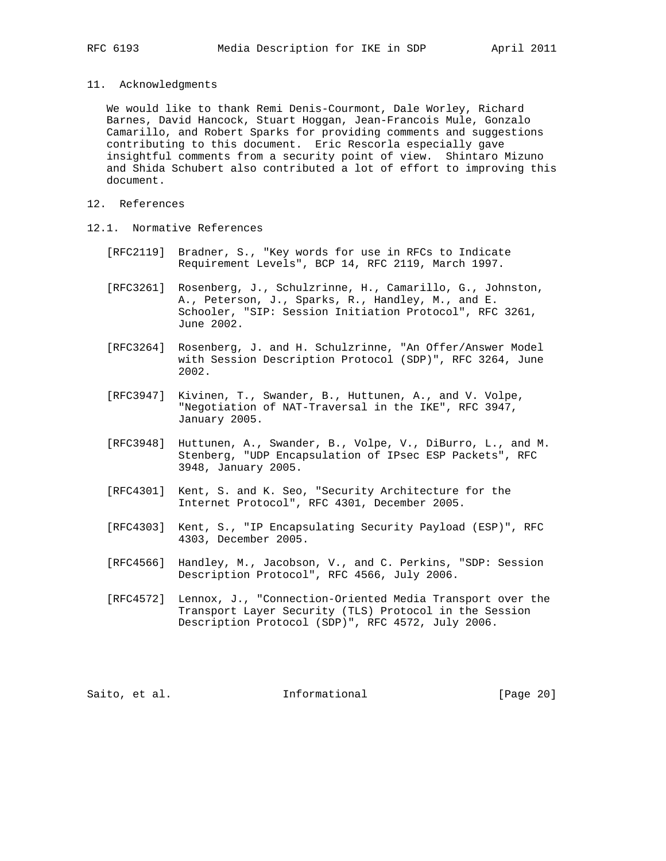### 11. Acknowledgments

 We would like to thank Remi Denis-Courmont, Dale Worley, Richard Barnes, David Hancock, Stuart Hoggan, Jean-Francois Mule, Gonzalo Camarillo, and Robert Sparks for providing comments and suggestions contributing to this document. Eric Rescorla especially gave insightful comments from a security point of view. Shintaro Mizuno and Shida Schubert also contributed a lot of effort to improving this document.

- 12. References
- 12.1. Normative References
	- [RFC2119] Bradner, S., "Key words for use in RFCs to Indicate Requirement Levels", BCP 14, RFC 2119, March 1997.
	- [RFC3261] Rosenberg, J., Schulzrinne, H., Camarillo, G., Johnston, A., Peterson, J., Sparks, R., Handley, M., and E. Schooler, "SIP: Session Initiation Protocol", RFC 3261, June 2002.
	- [RFC3264] Rosenberg, J. and H. Schulzrinne, "An Offer/Answer Model with Session Description Protocol (SDP)", RFC 3264, June 2002.
	- [RFC3947] Kivinen, T., Swander, B., Huttunen, A., and V. Volpe, "Negotiation of NAT-Traversal in the IKE", RFC 3947, January 2005.
	- [RFC3948] Huttunen, A., Swander, B., Volpe, V., DiBurro, L., and M. Stenberg, "UDP Encapsulation of IPsec ESP Packets", RFC 3948, January 2005.
	- [RFC4301] Kent, S. and K. Seo, "Security Architecture for the Internet Protocol", RFC 4301, December 2005.
	- [RFC4303] Kent, S., "IP Encapsulating Security Payload (ESP)", RFC 4303, December 2005.
	- [RFC4566] Handley, M., Jacobson, V., and C. Perkins, "SDP: Session Description Protocol", RFC 4566, July 2006.
	- [RFC4572] Lennox, J., "Connection-Oriented Media Transport over the Transport Layer Security (TLS) Protocol in the Session Description Protocol (SDP)", RFC 4572, July 2006.

Saito, et al. 1nformational [Page 20]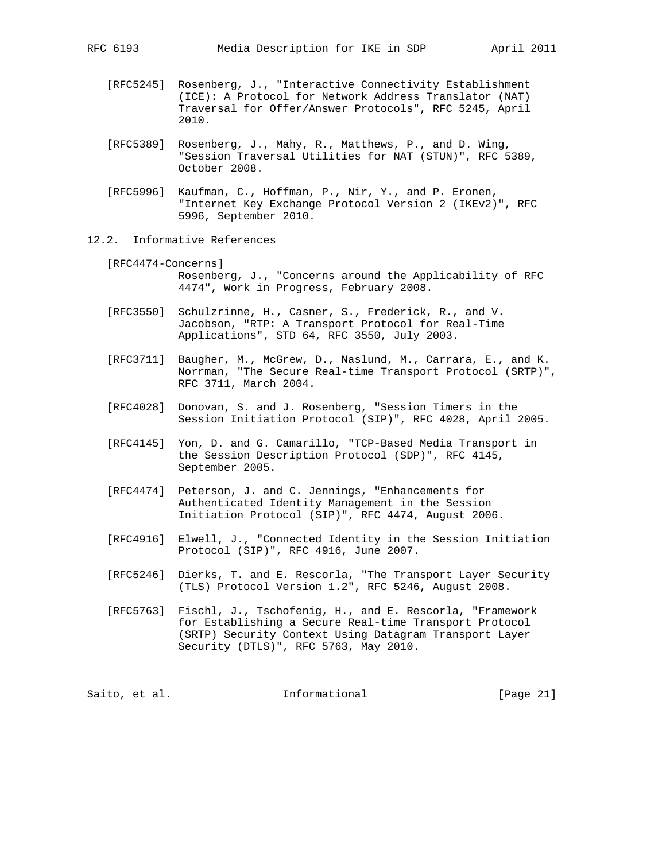- [RFC5245] Rosenberg, J., "Interactive Connectivity Establishment (ICE): A Protocol for Network Address Translator (NAT) Traversal for Offer/Answer Protocols", RFC 5245, April 2010.
- [RFC5389] Rosenberg, J., Mahy, R., Matthews, P., and D. Wing, "Session Traversal Utilities for NAT (STUN)", RFC 5389, October 2008.
- [RFC5996] Kaufman, C., Hoffman, P., Nir, Y., and P. Eronen, "Internet Key Exchange Protocol Version 2 (IKEv2)", RFC 5996, September 2010.
- 12.2. Informative References

 [RFC4474-Concerns] Rosenberg, J., "Concerns around the Applicability of RFC 4474", Work in Progress, February 2008.

- [RFC3550] Schulzrinne, H., Casner, S., Frederick, R., and V. Jacobson, "RTP: A Transport Protocol for Real-Time Applications", STD 64, RFC 3550, July 2003.
- [RFC3711] Baugher, M., McGrew, D., Naslund, M., Carrara, E., and K. Norrman, "The Secure Real-time Transport Protocol (SRTP)", RFC 3711, March 2004.
- [RFC4028] Donovan, S. and J. Rosenberg, "Session Timers in the Session Initiation Protocol (SIP)", RFC 4028, April 2005.
- [RFC4145] Yon, D. and G. Camarillo, "TCP-Based Media Transport in the Session Description Protocol (SDP)", RFC 4145, September 2005.
- [RFC4474] Peterson, J. and C. Jennings, "Enhancements for Authenticated Identity Management in the Session Initiation Protocol (SIP)", RFC 4474, August 2006.
- [RFC4916] Elwell, J., "Connected Identity in the Session Initiation Protocol (SIP)", RFC 4916, June 2007.
- [RFC5246] Dierks, T. and E. Rescorla, "The Transport Layer Security (TLS) Protocol Version 1.2", RFC 5246, August 2008.
- [RFC5763] Fischl, J., Tschofenig, H., and E. Rescorla, "Framework for Establishing a Secure Real-time Transport Protocol (SRTP) Security Context Using Datagram Transport Layer Security (DTLS)", RFC 5763, May 2010.

Saito, et al. Informational [Page 21]